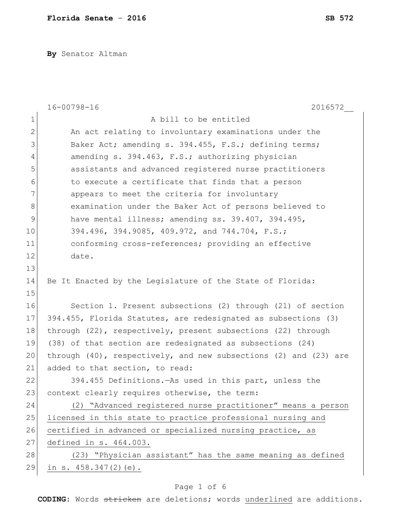**By** Senator Altman

|                | $16 - 00798 - 16$<br>2016572                                            |
|----------------|-------------------------------------------------------------------------|
| $\mathbf 1$    | A bill to be entitled                                                   |
| $\overline{2}$ | An act relating to involuntary examinations under the                   |
| 3              | Baker Act; amending s. 394.455, F.S.; defining terms;                   |
| 4              | amending s. 394.463, F.S.; authorizing physician                        |
| 5              | assistants and advanced registered nurse practitioners                  |
| 6              | to execute a certificate that finds that a person                       |
| 7              | appears to meet the criteria for involuntary                            |
| 8              | examination under the Baker Act of persons believed to                  |
| 9              | have mental illness; amending ss. 39.407, 394.495,                      |
| 10             | 394.496, 394.9085, 409.972, and 744.704, F.S.;                          |
| 11             | conforming cross-references; providing an effective                     |
| 12             | date.                                                                   |
| 13             |                                                                         |
| 14             | Be It Enacted by the Legislature of the State of Florida:               |
| 15             |                                                                         |
| 16             | Section 1. Present subsections (2) through (21) of section              |
| 17             | 394.455, Florida Statutes, are redesignated as subsections (3)          |
| 18             | through (22), respectively, present subsections (22) through            |
| 19             | (38) of that section are redesignated as subsections (24)               |
| 20             | through $(40)$ , respectively, and new subsections $(2)$ and $(23)$ are |
| 21             | added to that section, to read:                                         |
| 22             | 394.455 Definitions. - As used in this part, unless the                 |
| 23             | context clearly requires otherwise, the term:                           |
| 24             | (2) "Advanced registered nurse practitioner" means a person             |
| 25             | licensed in this state to practice professional nursing and             |
| 26             | certified in advanced or specialized nursing practice, as               |
| 27             | defined in s. 464.003.                                                  |
| 28             | (23) "Physician assistant" has the same meaning as defined              |
| 29             | in s. $458.347(2)(e)$ .                                                 |

# Page 1 of 6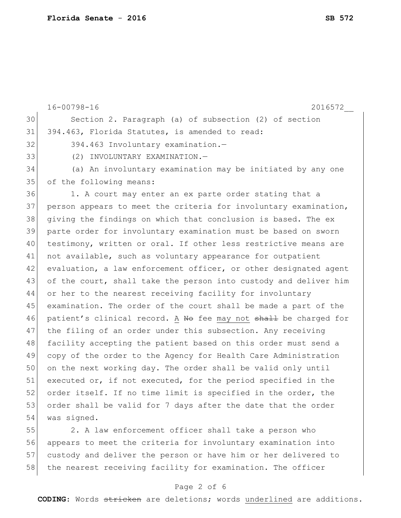16-00798-16 2016572\_\_ 30 Section 2. Paragraph (a) of subsection (2) of section 31 394.463, Florida Statutes, is amended to read: 32 394.463 Involuntary examination. 33 (2) INVOLUNTARY EXAMINATION.— 34 (a) An involuntary examination may be initiated by any one 35 of the following means: 36 1. A court may enter an ex parte order stating that a 37 person appears to meet the criteria for involuntary examination, 38 giving the findings on which that conclusion is based. The ex 39 parte order for involuntary examination must be based on sworn 40 testimony, written or oral. If other less restrictive means are 41 not available, such as voluntary appearance for outpatient 42 evaluation, a law enforcement officer, or other designated agent 43 of the court, shall take the person into custody and deliver him 44 or her to the nearest receiving facility for involuntary 45 examination. The order of the court shall be made a part of the 46 patient's clinical record. A No fee may not shall be charged for 47 the filing of an order under this subsection. Any receiving 48 facility accepting the patient based on this order must send a 49 copy of the order to the Agency for Health Care Administration 50 on the next working day. The order shall be valid only until 51 executed or, if not executed, for the period specified in the 52 order itself. If no time limit is specified in the order, the 53 order shall be valid for 7 days after the date that the order 54 was signed. 55 2. A law enforcement officer shall take a person who

56 appears to meet the criteria for involuntary examination into 57 custody and deliver the person or have him or her delivered to 58 the nearest receiving facility for examination. The officer

### Page 2 of 6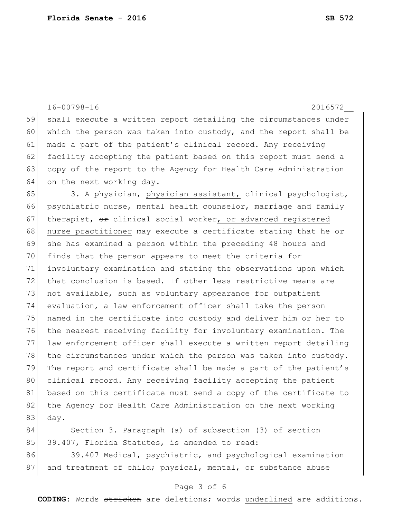|    | $16 - 00798 - 16$<br>2016572                                     |
|----|------------------------------------------------------------------|
| 59 | shall execute a written report detailing the circumstances under |
| 60 | which the person was taken into custody, and the report shall be |
| 61 | made a part of the patient's clinical record. Any receiving      |
| 62 | facility accepting the patient based on this report must send a  |
| 63 | copy of the report to the Agency for Health Care Administration  |
| 64 | on the next working day.                                         |
| 65 | 3. A physician, physician assistant, clinical psychologist,      |
| 66 | psychiatric nurse, mental health counselor, marriage and family  |
| 67 | therapist, or clinical social worker, or advanced registered     |
| 68 | nurse practitioner may execute a certificate stating that he or  |
| 69 | she has examined a person within the preceding 48 hours and      |
| 70 | finds that the person appears to meet the criteria for           |
| 71 | involuntary examination and stating the observations upon which  |
| 72 | that conclusion is based. If other less restrictive means are    |
| 73 | not available, such as voluntary appearance for outpatient       |
| 74 | evaluation, a law enforcement officer shall take the person      |
| 75 | named in the certificate into custody and deliver him or her to  |
| 76 | the nearest receiving facility for involuntary examination. The  |
| 77 | law enforcement officer shall execute a written report detailing |
| 78 | the circumstances under which the person was taken into custody. |
| 79 | The report and certificate shall be made a part of the patient's |
| 80 | clinical record. Any receiving facility accepting the patient    |
| 81 | based on this certificate must send a copy of the certificate to |
| 82 | the Agency for Health Care Administration on the next working    |
| 83 | day.                                                             |
| 84 | Section 3. Paragraph (a) of subsection (3) of section            |
| 85 | 39.407, Florida Statutes, is amended to read:                    |

86 39.407 Medical, psychiatric, and psychological examination 87 and treatment of child; physical, mental, or substance abuse

### Page 3 of 6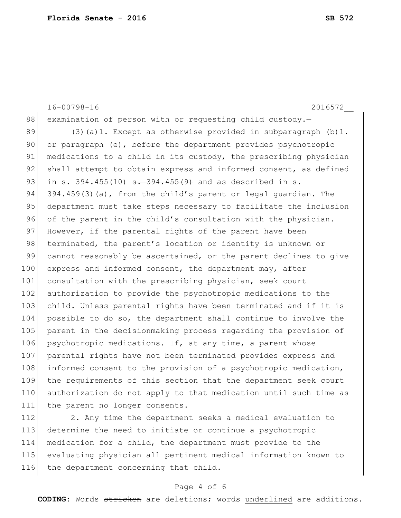16-00798-16 2016572\_\_ 88 examination of person with or requesting child custody.-89 (3)(a)1. Except as otherwise provided in subparagraph  $(b)$ 1. 90 or paragraph (e), before the department provides psychotropic 91 medications to a child in its custody, the prescribing physician 92 shall attempt to obtain express and informed consent, as defined 93 in s. 394.455(10) s. 394.455(9) and as described in s. 94 394.459(3)(a), from the child's parent or legal guardian. The 95 department must take steps necessary to facilitate the inclusion 96 of the parent in the child's consultation with the physician. 97 However, if the parental rights of the parent have been 98 terminated, the parent's location or identity is unknown or 99 cannot reasonably be ascertained, or the parent declines to give 100 express and informed consent, the department may, after 101 consultation with the prescribing physician, seek court 102 authorization to provide the psychotropic medications to the 103 child. Unless parental rights have been terminated and if it is 104 possible to do so, the department shall continue to involve the 105 parent in the decisionmaking process regarding the provision of 106 psychotropic medications. If, at any time, a parent whose 107 parental rights have not been terminated provides express and 108 informed consent to the provision of a psychotropic medication, 109 the requirements of this section that the department seek court 110 authorization do not apply to that medication until such time as 111 the parent no longer consents. 112 2. Any time the department seeks a medical evaluation to

 determine the need to initiate or continue a psychotropic medication for a child, the department must provide to the evaluating physician all pertinent medical information known to 116 the department concerning that child.

#### Page 4 of 6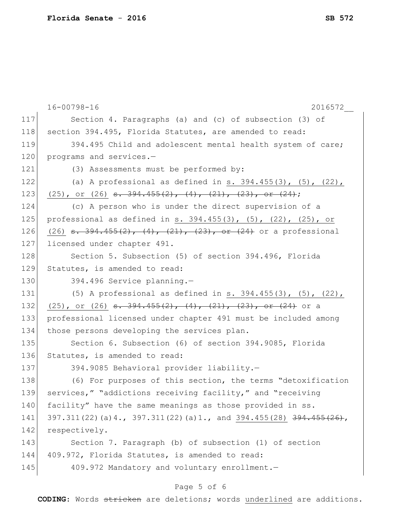|     | $16 - 00798 - 16$<br>2016572                                                |
|-----|-----------------------------------------------------------------------------|
| 117 | Section 4. Paragraphs (a) and (c) of subsection (3) of                      |
| 118 | section 394.495, Florida Statutes, are amended to read:                     |
| 119 | 394.495 Child and adolescent mental health system of care;                  |
| 120 | programs and services.-                                                     |
| 121 | (3) Assessments must be performed by:                                       |
| 122 | (a) A professional as defined in s. $394.455(3)$ , $(5)$ , $(22)$ ,         |
| 123 | $(25)$ , or $(26)$ <del>s. 394.455(2), (4), (21), (23), or (24)</del> ;     |
| 124 | (c) A person who is under the direct supervision of a                       |
| 125 | professional as defined in s. $394.455(3)$ , $(5)$ , $(22)$ , $(25)$ , or   |
| 126 | $(26)$ <del>s. 394.455(2), (4), (21), (23), or (24)</del> or a professional |
| 127 | licensed under chapter 491.                                                 |
| 128 | Section 5. Subsection (5) of section 394.496, Florida                       |
| 129 | Statutes, is amended to read:                                               |
| 130 | 394.496 Service planning.-                                                  |
| 131 | (5) A professional as defined in $s. 394.455(3)$ , $(5)$ , $(22)$ ,         |
| 132 | $(25)$ , or $(26)$ <del>s. 394.455(2), (4), (21), (23), or (24)</del> or a  |
| 133 | professional licensed under chapter 491 must be included among              |
| 134 | those persons developing the services plan.                                 |
| 135 | Section 6. Subsection (6) of section 394.9085, Florida                      |
| 136 | Statutes, is amended to read:                                               |
| 137 | 394.9085 Behavioral provider liability.-                                    |
| 138 | (6) For purposes of this section, the terms "detoxification                 |
| 139 | services," "addictions receiving facility," and "receiving                  |
| 140 | facility" have the same meanings as those provided in ss.                   |
| 141 | 397.311(22)(a)4., 397.311(22)(a)1., and 394.455(28) 394.455(26),            |
| 142 | respectively.                                                               |
| 143 | Section 7. Paragraph (b) of subsection (1) of section                       |
| 144 | 409.972, Florida Statutes, is amended to read:                              |
| 145 | 409.972 Mandatory and voluntary enrollment.-                                |
|     |                                                                             |

# Page 5 of 6